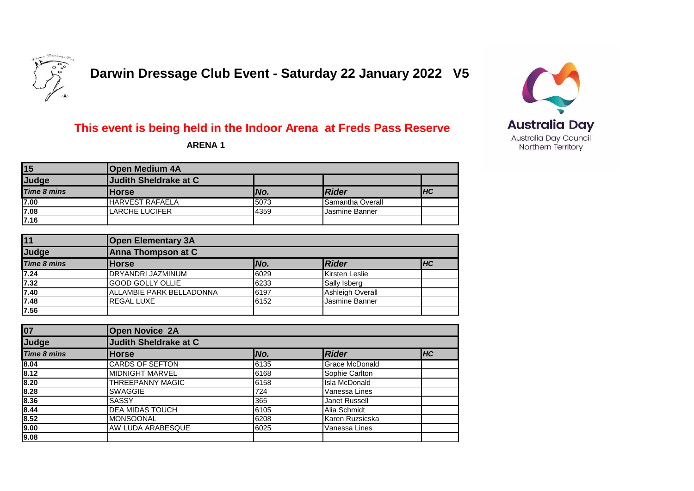

 **Darwin Dressage Club Event - Saturday 22 January 2022 V5**

## **Australia Day** Australia Day Council Northern Territory

## **This event is being held in the Indoor Arena at Freds Pass Reserve**

 **ARENA 1**

| 15                 | <b>Open Medium 4A</b>  |      |                         |            |  |
|--------------------|------------------------|------|-------------------------|------------|--|
| Judge              | Judith Sheldrake at C  |      |                         |            |  |
| <b>Time 8 mins</b> | <b>IHorse</b>          | No.  | <b>Rider</b>            | <b>IHC</b> |  |
| 7.00               | <b>HARVEST RAFAELA</b> | 5073 | <b>Samantha Overall</b> |            |  |
| 7.08               | LARCHE LUCIFER         | 4359 | Jasmine Banner          |            |  |
| 7.16               |                        |      |                         |            |  |

| 11                  | <b>Open Elementary 3A</b> |      |                         |           |  |
|---------------------|---------------------------|------|-------------------------|-----------|--|
| Judge               | Anna Thompson at C        |      |                         |           |  |
| <b>Time 8 mins</b>  | <b>Horse</b>              | No.  | Rider                   | <b>HC</b> |  |
| 7.24                | <b>DRYANDRI JAZMINUM</b>  | 6029 | Kirsten Leslie          |           |  |
| 7.32                | <b>GOOD GOLLY OLLIE</b>   | 6233 | Sally Isberg            |           |  |
| $\frac{7.40}{7.48}$ | ALLAMBIE PARK BELLADONNA  | 6197 | <b>Ashleigh Overall</b> |           |  |
|                     | <b>REGAL LUXE</b>         | 6152 | Jasmine Banner          |           |  |
| 7.56                |                           |      |                         |           |  |

| 07                 | <b>Open Novice 2A</b>        |      |                       |    |
|--------------------|------------------------------|------|-----------------------|----|
| Judge              | <b>Judith Sheldrake at C</b> |      |                       |    |
| <b>Time 8 mins</b> | <b>Horse</b>                 | No.  | Rider                 | HC |
| 8.04               | <b>CARDS OF SEFTON</b>       | 6135 | <b>Grace McDonald</b> |    |
| 8.12               | <b>MIDNIGHT MARVEL</b>       | 6168 | Sophie Carlton        |    |
| 8.20               | THREEPANNY MAGIC             | 6158 | <b>Isla McDonald</b>  |    |
| 8.28               | <b>SWAGGIE</b>               | 724  | Vanessa Lines         |    |
| 8.36               | <b>SASSY</b>                 | 365  | <b>Janet Russell</b>  |    |
| 8.44               | <b>DEA MIDAS TOUCH</b>       | 6105 | Alia Schmidt          |    |
| 8.52               | <b>MONSOONAL</b>             | 6208 | Karen Ruzsicska       |    |
| 9.00               | <b>AW LUDA ARABESQUE</b>     | 6025 | Vanessa Lines         |    |
| 9.08               |                              |      |                       |    |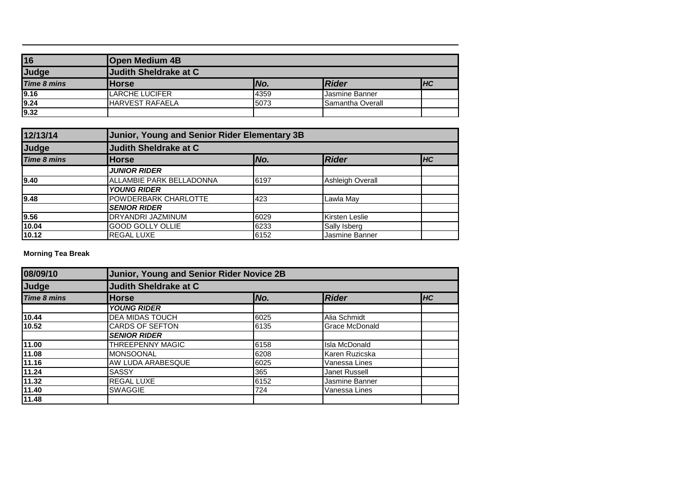| 16                 | <b>Open Medium 4B</b>   |      |                  |           |
|--------------------|-------------------------|------|------------------|-----------|
| Judge              | Judith Sheldrake at C   |      |                  |           |
| <b>Time 8 mins</b> | <b>Horse</b>            | No.  | Rider            | <b>HC</b> |
| 9.16               | <b>LARCHE LUCIFER</b>   | 4359 | Jasmine Banner   |           |
| 9.24               | <b>IHARVEST RAFAELA</b> | 5073 | Samantha Overall |           |
| 9.32               |                         |      |                  |           |

| 12/13/14           |                          | Junior, Young and Senior Rider Elementary 3B |                         |  |  |
|--------------------|--------------------------|----------------------------------------------|-------------------------|--|--|
| Judge              | Judith Sheldrake at C    |                                              |                         |  |  |
| <b>Time 8 mins</b> | <b>Horse</b>             | <b>Rider</b>                                 | <b>IHC</b>              |  |  |
|                    | <b>JUNIOR RIDER</b>      |                                              |                         |  |  |
| 9.40               | ALLAMBIE PARK BELLADONNA | 6197                                         | <b>Ashleigh Overall</b> |  |  |
|                    | <b>YOUNG RIDER</b>       |                                              |                         |  |  |
| 9.48               | POWDERBARK CHARLOTTE     | 423                                          | Lawla May               |  |  |
|                    | <b>SENIOR RIDER</b>      |                                              |                         |  |  |
| 9.56               | DRYANDRI JAZMINUM        | 6029                                         | Kirsten Leslie          |  |  |
| 10.04              | <b>GOOD GOLLY OLLIE</b>  | 6233                                         | Sally Isberg            |  |  |
| 10.12              | <b>REGAL LUXE</b>        | 6152                                         | Jasmine Banner          |  |  |

**Morning Tea Break**

| 08/09/10           |                              | <b>Junior, Young and Senior Rider Novice 2B</b> |                       |    |  |  |  |
|--------------------|------------------------------|-------------------------------------------------|-----------------------|----|--|--|--|
| Judge              | <b>Judith Sheldrake at C</b> |                                                 |                       |    |  |  |  |
| <b>Time 8 mins</b> | <b>Horse</b>                 | No.                                             | <b>Rider</b>          | HC |  |  |  |
|                    | <b>YOUNG RIDER</b>           |                                                 |                       |    |  |  |  |
| 10.44              | DEA MIDAS TOUCH              | 6025                                            | Alia Schmidt          |    |  |  |  |
| 10.52              | <b>CARDS OF SEFTON</b>       | 6135                                            | <b>Grace McDonald</b> |    |  |  |  |
|                    | <b>SENIOR RIDER</b>          |                                                 |                       |    |  |  |  |
| 11.00              | <b>THREEPENNY MAGIC</b>      | 6158                                            | <b>Isla McDonald</b>  |    |  |  |  |
| 11.08              | <b>MONSOONAL</b>             | 6208                                            | Karen Ruzicska        |    |  |  |  |
| 11.16              | AW LUDA ARABESQUE            | 6025                                            | Vanessa Lines         |    |  |  |  |
| 11.24              | <b>SASSY</b>                 | 365                                             | Janet Russell         |    |  |  |  |
| 11.32              | <b>REGAL LUXE</b>            | 6152                                            | Jasmine Banner        |    |  |  |  |
| 11.40              | <b>SWAGGIE</b>               | 724                                             | Vanessa Lines         |    |  |  |  |
| 11.48              |                              |                                                 |                       |    |  |  |  |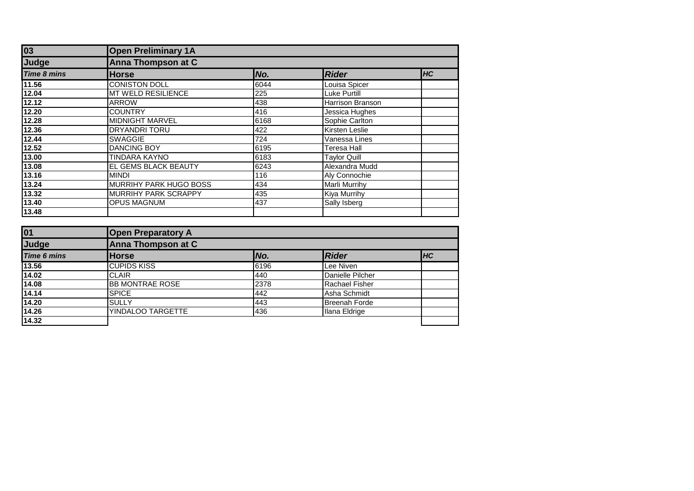| 03                 | <b>Open Preliminary 1A</b>  |      |                         |            |  |  |
|--------------------|-----------------------------|------|-------------------------|------------|--|--|
| Judge              | <b>Anna Thompson at C</b>   |      |                         |            |  |  |
| <b>Time 8 mins</b> | <b>Horse</b>                | No.  | <b>Rider</b>            | <b>IHC</b> |  |  |
| 11.56              | <b>CONISTON DOLL</b>        | 6044 | Louisa Spicer           |            |  |  |
| 12.04              | MT WELD RESILIENCE          | 225  | <b>Luke Purtill</b>     |            |  |  |
| 12.12              | <b>ARROW</b>                | 438  | <b>Harrison Branson</b> |            |  |  |
| 12.20              | <b>COUNTRY</b>              | 416  | Jessica Hughes          |            |  |  |
| 12.28              | <b>MIDNIGHT MARVEL</b>      | 6168 | Sophie Carlton          |            |  |  |
| 12.36              | <b>DRYANDRI TORU</b>        | 422  | Kirsten Leslie          |            |  |  |
| 12.44              | <b>SWAGGIE</b>              | 724  | Vanessa Lines           |            |  |  |
| 12.52              | <b>DANCING BOY</b>          | 6195 | <b>Teresa Hall</b>      |            |  |  |
| 13.00              | <b>TINDARA KAYNO</b>        | 6183 | Taylor Quill            |            |  |  |
| 13.08              | EL GEMS BLACK BEAUTY        | 6243 | Alexandra Mudd          |            |  |  |
| 13.16              | <b>MINDI</b>                | 116  | Aly Connochie           |            |  |  |
| 13.24              | MURRIHY PARK HUGO BOSS      | 434  | <b>Marli Murrihy</b>    |            |  |  |
| 13.32              | <b>MURRIHY PARK SCRAPPY</b> | 435  | <b>Kiya Murrihy</b>     |            |  |  |
| 13.40              | <b>OPUS MAGNUM</b>          | 437  | Sally Isberg            |            |  |  |
| 13.48              |                             |      |                         |            |  |  |

| 01                 | <b>Open Preparatory A</b> |      |                       |           |
|--------------------|---------------------------|------|-----------------------|-----------|
| Judge              | Anna Thompson at C        |      |                       |           |
| <b>Time 6 mins</b> | <b>Horse</b>              | No.  | <b>Rider</b>          | <b>HC</b> |
| 13.56              | <b>CUPIDS KISS</b>        | 6196 | Lee Niven             |           |
| 14.02              | <b>CLAIR</b>              | 440  | Danielle Pilcher      |           |
| 14.08              | <b>BB MONTRAE ROSE</b>    | 2378 | <b>Rachael Fisher</b> |           |
| 14.14              | <b>SPICE</b>              | 442  | Asha Schmidt          |           |
| 14.20              | <b>SULLY</b>              | 443  | <b>Breenah Forde</b>  |           |
| 14.26              | YINDALOO TARGETTE         | 436  | Ilana Eldrige         |           |
| 14.32              |                           |      |                       |           |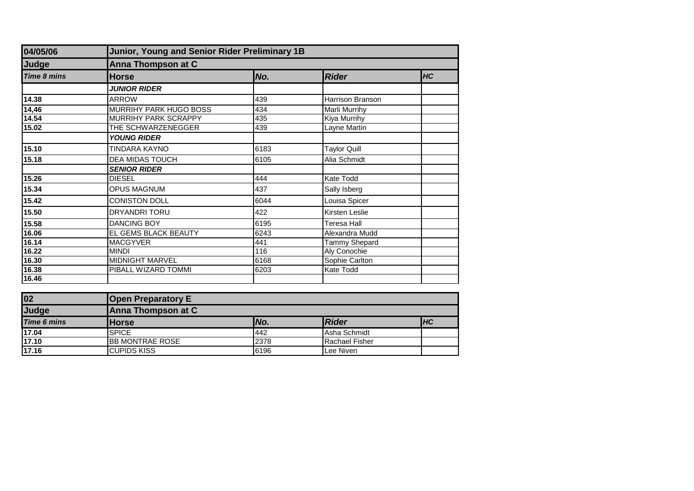| 04/05/06           | Junior, Young and Senior Rider Preliminary 1B |      |                     |    |  |
|--------------------|-----------------------------------------------|------|---------------------|----|--|
| Judge              | Anna Thompson at C                            |      |                     |    |  |
| <b>Time 8 mins</b> | <b>Horse</b>                                  | No.  | <b>Rider</b>        | HC |  |
|                    | <b>JUNIOR RIDER</b>                           |      |                     |    |  |
| 14.38              | <b>ARROW</b>                                  | 439  | Harrison Branson    |    |  |
| 14,46              | MURRIHY PARK HUGO BOSS                        | 434  | Marli Murrihy       |    |  |
| 14.54              | MURRIHY PARK SCRAPPY                          | 435  | Kiya Murrihy        |    |  |
| 15.02              | THE SCHWARZENEGGER                            | 439  | Layne Martin        |    |  |
|                    | <b>YOUNG RIDER</b>                            |      |                     |    |  |
| 15.10              | TINDARA KAYNO                                 | 6183 | <b>Taylor Quill</b> |    |  |
| 15.18              | <b>DEA MIDAS TOUCH</b>                        | 6105 | Alia Schmidt        |    |  |
|                    | <b>SENIOR RIDER</b>                           |      |                     |    |  |
| 15.26              | <b>DIESEL</b>                                 | 444  | Kate Todd           |    |  |
| 15.34              | OPUS MAGNUM                                   | 437  | Sally Isberg        |    |  |
| 15.42              | <b>CONISTON DOLL</b>                          | 6044 | Louisa Spicer       |    |  |
| 15.50              | DRYANDRI TORU                                 | 422  | Kirsten Leslie      |    |  |
| 15.58              | <b>DANCING BOY</b>                            | 6195 | Teresa Hall         |    |  |
| 16.06              | EL GEMS BLACK BEAUTY                          | 6243 | Alexandra Mudd      |    |  |
| 16.14              | <b>MACGYVER</b>                               | 441  | Tammy Shepard       |    |  |
| 16.22              | <b>MINDI</b>                                  | 116  | Aly Conochie        |    |  |
| 16.30              | <b>MIDNIGHT MARVEL</b>                        | 6168 | Sophie Carlton      |    |  |
| 16.38              | PIBALL WIZARD TOMMI                           | 6203 | Kate Todd           |    |  |
| 16.46              |                                               |      |                     |    |  |

| $\overline{02}$    | <b>Open Preparatory E</b> |      |                |            |
|--------------------|---------------------------|------|----------------|------------|
| Judge              | Anna Thompson at C        |      |                |            |
| <b>Time 6 mins</b> | <b>Horse</b>              | No.  | <b>Rider</b>   | <b>IHC</b> |
| 17.04              | <b>SPICE</b>              | 442  | Asha Schmidt   |            |
| 17.10              | <b>BB MONTRAE ROSE</b>    | 2378 | Rachael Fisher |            |
| 17.16              | <b>CUPIDS KISS</b>        | 6196 | Lee Niven      |            |